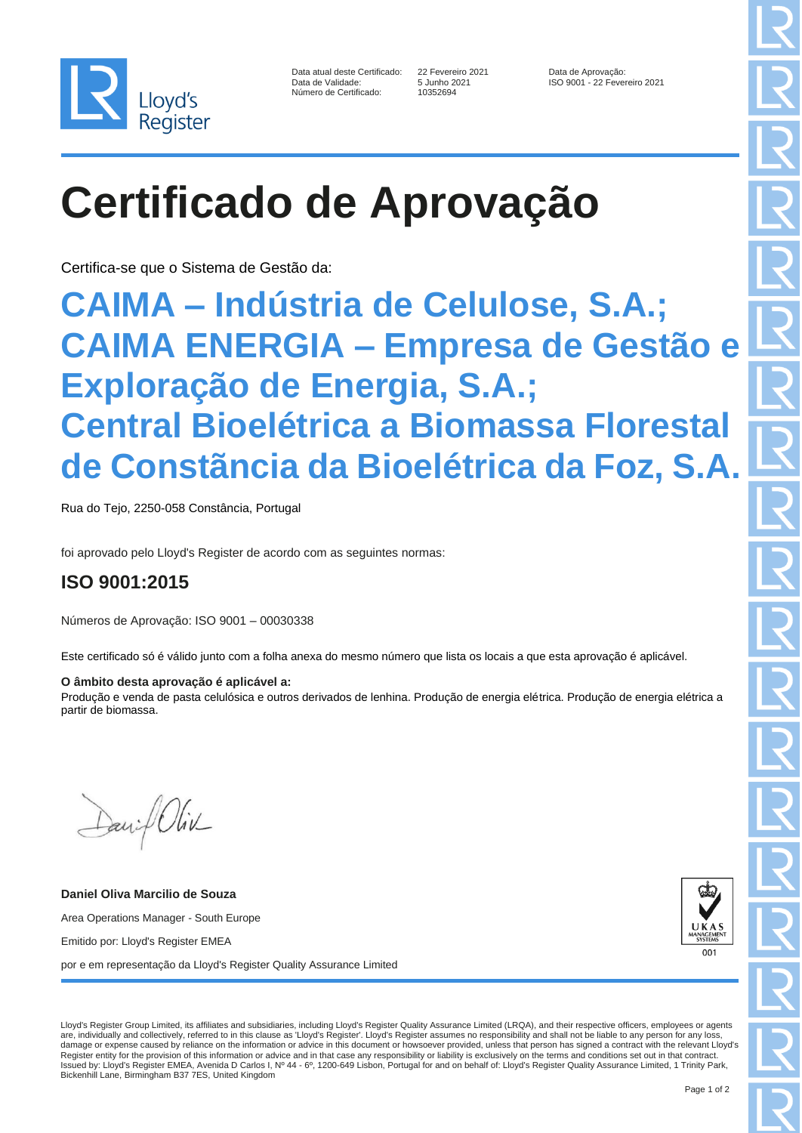

| Data atual deste Certificado: |
|-------------------------------|
| Data de Validade:             |
| Número de Certificado:        |

10352694

Data atual deste Certificado: 22 Fevereiro 2021 Data de Aprovação: ISO 9001 - 22 Fevereiro 2021

# **Certificado de Aprovação**

Certifica-se que o Sistema de Gestão da:

### **CAIMA – Indústria de Celulose, S.A.; CAIMA ENERGIA – Empresa de Gestão e Exploração de Energia, S.A.; Central Bioelétrica a Biomassa Florestal de Constãncia da Bioelétrica da Foz, S.A.**

Rua do Tejo, 2250-058 Constância, Portugal

foi aprovado pelo Lloyd's Register de acordo com as seguintes normas:

### **ISO 9001:2015**

Números de Aprovação: ISO 9001 – 00030338

Este certificado só é válido junto com a folha anexa do mesmo número que lista os locais a que esta aprovação é aplicável.

#### **O âmbito desta aprovação é aplicável a:**

Produção e venda de pasta celulósica e outros derivados de lenhina. Produção de energia elétrica. Produção de energia elétrica a partir de biomassa.

David Oliv

**Daniel Oliva Marcilio de Souza** Area Operations Manager - South Europe Emitido por: Lloyd's Register EMEA por e em representação da Lloyd's Register Quality Assurance Limited



Lloyd's Register Group Limited, its affiliates and subsidiaries, including Lloyd's Register Quality Assurance Limited (LRQA), and their respective officers, employees or agents are, individually and collectively, referred to in this clause as 'Lloyd's Register'. Lloyd's Register assumes no responsibility and shall not be liable to any person for any loss, damage or expense caused by reliance on the information or advice in this document or howsoever provided, unless that person has signed a contract with the relevant Lloyd's Register entity for the provision of this information or advice and in that case any responsibility or liability is exclusively on the terms and conditions set out in that contract. Issued by: Lloyd's Register EMEA, Avenida D Carlos I, Nº 44 - 6º, 1200-649 Lisbon, Portugal for and on behalf of: Lloyd's Register Quality Assurance Limited, 1 Trinity Park, Bickenhill Lane, Birmingham B37 7ES, United Kingdom